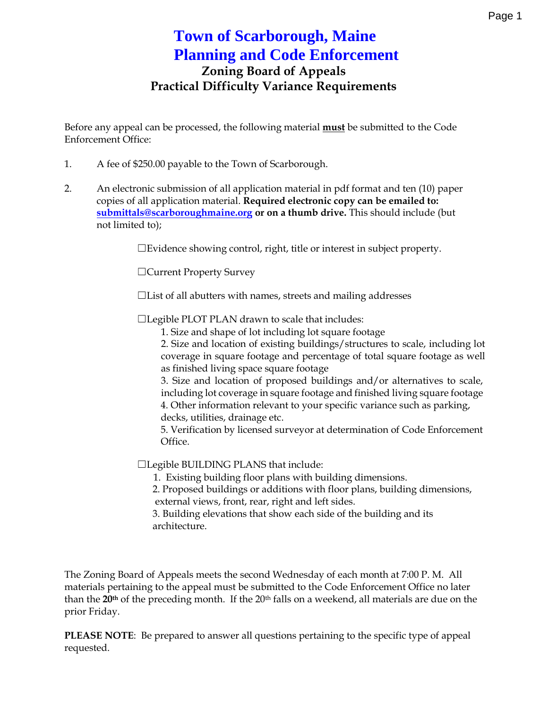## **Town of Scarborough, Maine Planning and Code Enforcement Zoning Board of Appeals Practical Difficulty Variance Requirements**

Before any appeal can be processed, the following material **must** be submitted to the Code Enforcement Office:

- 1. A fee of \$250.00 payable to the Town of Scarborough.
- 2. An electronic submission of all application material in pdf format and ten (10) paper copies of all application material. **Required electronic copy can be emailed to: submittals@scarboroughmaine.org or on a thumb drive.** This should include (but not limited to);

☐Evidence showing control, right, title or interest in subject property.

☐Current Property Survey

☐List of all abutters with names, streets and mailing addresses

☐Legible PLOT PLAN drawn to scale that includes:

1. Size and shape of lot including lot square footage

2. Size and location of existing buildings/structures to scale, including lot coverage in square footage and percentage of total square footage as well as finished living space square footage

3. Size and location of proposed buildings and/or alternatives to scale, including lot coverage in square footage and finished living square footage 4. Other information relevant to your specific variance such as parking, decks, utilities, drainage etc.

5. Verification by licensed surveyor at determination of Code Enforcement Office.

☐Legible BUILDING PLANS that include:

1. Existing building floor plans with building dimensions.

2. Proposed buildings or additions with floor plans, building dimensions, external views, front, rear, right and left sides.

3. Building elevations that show each side of the building and its architecture.

The Zoning Board of Appeals meets the second Wednesday of each month at 7:00 P. M. All materials pertaining to the appeal must be submitted to the Code Enforcement Office no later than the 20<sup>th</sup> of the preceding month. If the 20<sup>th</sup> falls on a weekend, all materials are due on the prior Friday.

**PLEASE NOTE**: Be prepared to answer all questions pertaining to the specific type of appeal requested.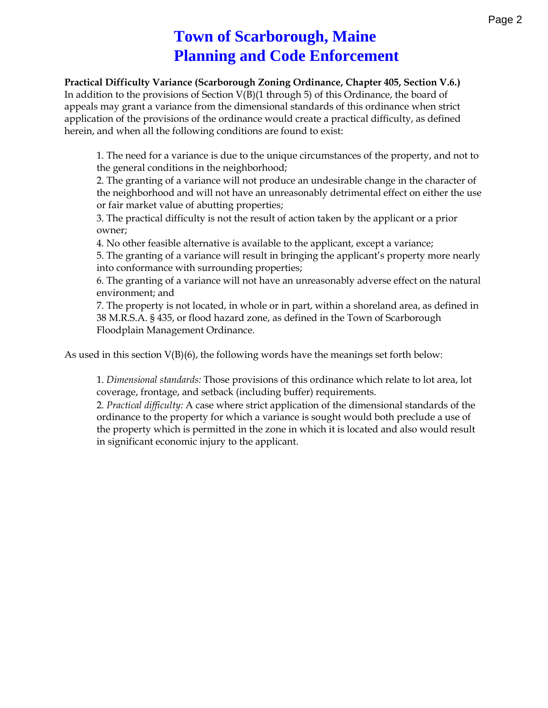# **Town of Scarborough, Maine Planning and Code Enforcement**

**Practical Difficulty Variance (Scarborough Zoning Ordinance, Chapter 405, Section V.6.)**

In addition to the provisions of Section V(B)(1 through 5) of this Ordinance, the board of appeals may grant a variance from the dimensional standards of this ordinance when strict application of the provisions of the ordinance would create a practical difficulty, as defined herein, and when all the following conditions are found to exist:

1. The need for a variance is due to the unique circumstances of the property, and not to the general conditions in the neighborhood;

2. The granting of a variance will not produce an undesirable change in the character of the neighborhood and will not have an unreasonably detrimental effect on either the use or fair market value of abutting properties;

3. The practical difficulty is not the result of action taken by the applicant or a prior owner;

4. No other feasible alternative is available to the applicant, except a variance;

5. The granting of a variance will result in bringing the applicant's property more nearly into conformance with surrounding properties;

6. The granting of a variance will not have an unreasonably adverse effect on the natural environment; and

7. The property is not located, in whole or in part, within a shoreland area, as defined in 38 M.R.S.A. § 435, or flood hazard zone, as defined in the Town of Scarborough Floodplain Management Ordinance.

As used in this section  $V(B)(6)$ , the following words have the meanings set forth below:

1. *Dimensional standards:* Those provisions of this ordinance which relate to lot area, lot coverage, frontage, and setback (including buffer) requirements.

2. *Practical difficulty:* A case where strict application of the dimensional standards of the ordinance to the property for which a variance is sought would both preclude a use of the property which is permitted in the zone in which it is located and also would result in significant economic injury to the applicant.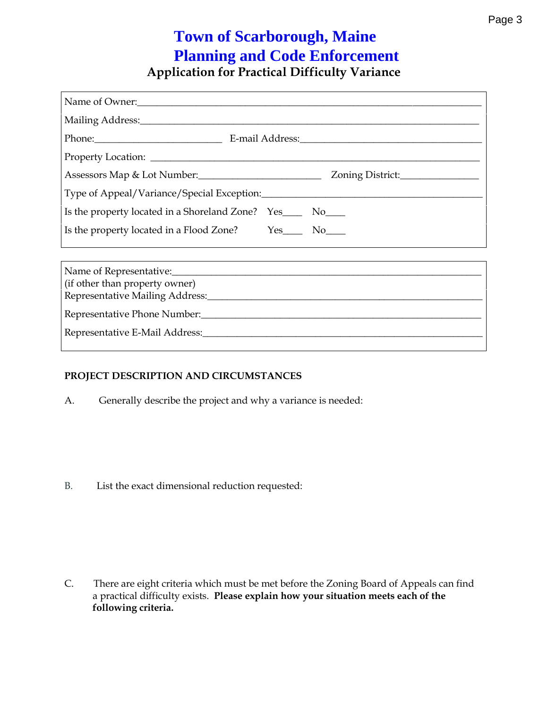## **Application for Practical Difficulty Variance Town of Scarborough, Maine Planning and Code Enforcement**

| Name of Owner:                                                    |
|-------------------------------------------------------------------|
|                                                                   |
|                                                                   |
|                                                                   |
| Assessors Map & Lot Number: Zoning District:                      |
|                                                                   |
| Is the property located in a Shoreland Zone? Yes________ No______ |
| Is the property located in a Flood Zone? Yes_________ No______    |
|                                                                   |
| (if other than property owner)                                    |
|                                                                   |
|                                                                   |
|                                                                   |

#### **PROJECT DESCRIPTION AND CIRCUMSTANCES**

A. Generally describe the project and why a variance is needed:

B. List the exact dimensional reduction requested:

a practical difficulty exists. **Please explain how your situation meets each of the following criteria.** C. There are eight criteria which must be met before the Zoning Board of Appeals can find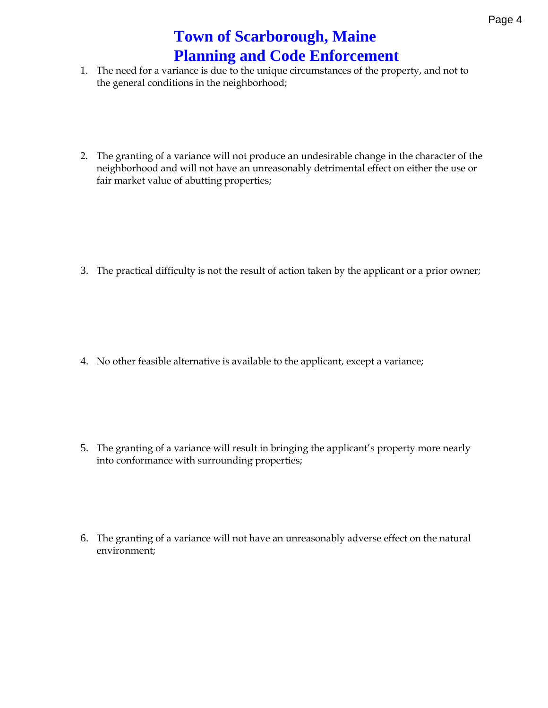- 1. The need for a variance is due to the unique circumstances of t the general conditions in the neighborhood;
- 2. The granting of a variance will not producien almeundaensacale the character of the change in the character of the character of the change in the character of the character of the change in the change of the character o neighborhood and will not have an unreasonably detrimental effect fair market value of abutting properties;

3. The practical difficulty is not the result of action taken by the a

4. No other feasible alternatiovethies appealileation the xcept a variance;

- 5. The granting of a variance will result ins paricorpogeintgy trheare prpeliacralynt into conformance with surrounding properties;
- 6. The granting roana eva will not have an unreasonably adverse effect environment;